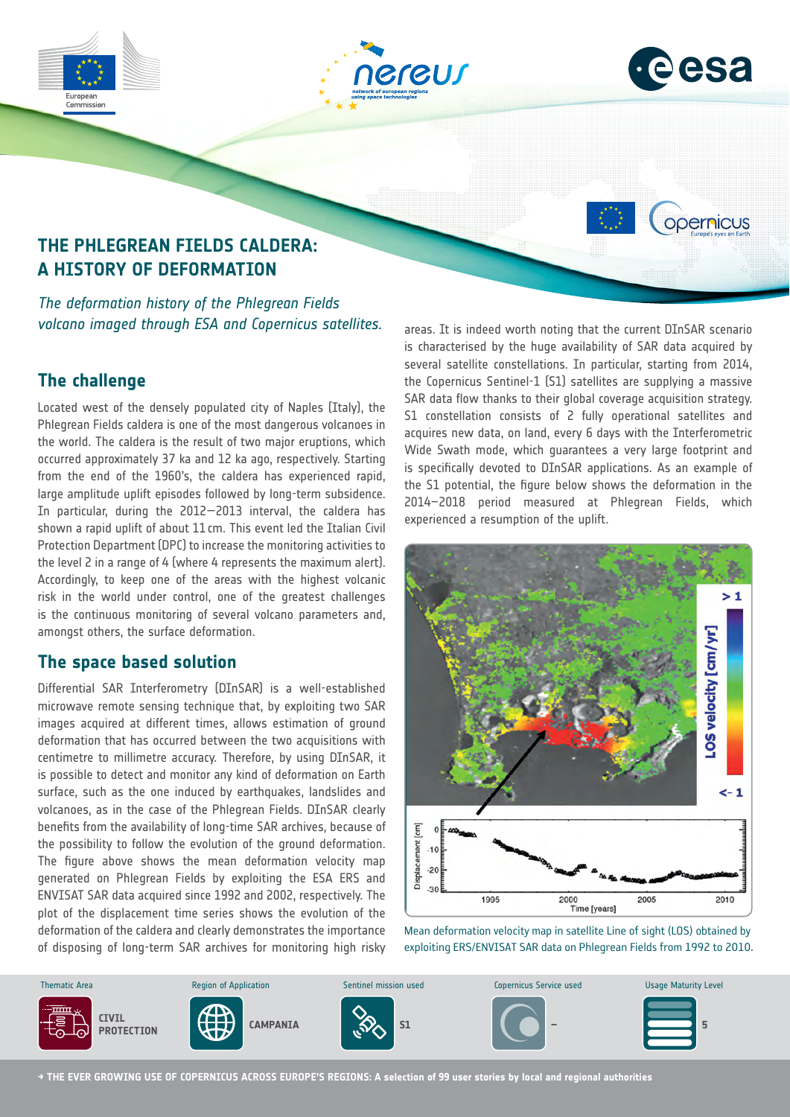

# **The challenge**

Located west of the densely populated city of Naples (Italy), the Phlegrean Fields caldera is one of the most dangerous volcanoes in the world. The caldera is the result of two major eruptions, which occurred approximately 37 ka and 12 ka ago, respectively. Starting from the end of the 1960's, the caldera has experienced rapid, large amplitude uplift episodes followed by long-term subsidence. In particular, during the 2012—2013 interval, the caldera has shown a rapid uplift of about 11cm. This event led the Italian Civil Protection Department (DPC) to increase the monitoring activities to the level 2 in a range of 4 (where 4 represents the maximum alert). Accordingly, to keep one of the areas with the highest volcanic risk in the world under control, one of the greatest challenges is the continuous monitoring of several volcano parameters and, amongst others, the surface deformation.

## **The space based solution**

Differential SAR Interferometry (DInSAR) is a well-established microwave remote sensing technique that, by exploiting two SAR images acquired at different times, allows estimation of ground deformation that has occurred between the two acquisitions with centimetre to millimetre accuracy. Therefore, by using DInSAR, it is possible to detect and monitor any kind of deformation on Earth surface, such as the one induced by earthquakes, landslides and volcanoes, as in the case of the Phlegrean Fields. DInSAR clearly benefits from the availability of long-time SAR archives, because of the possibility to follow the evolution of the ground deformation. The figure above shows the mean deformation velocity map generated on Phlegrean Fields by exploiting the ESA ERS and ENVISAT SAR data acquired since 1992 and 2002, respectively. The plot of the displacement time series shows the evolution of the deformation of the caldera and clearly demonstrates the importance of disposing of long-term SAR archives for monitoring high risky several satellite constellations. In particular, starting from 2014, the Copernicus Sentinel-1 (S1) satellites are supplying a massive SAR data flow thanks to their global coverage acquisition strategy. S1 constellation consists of 2 fully operational satellites and acquires new data, on land, every 6 days with the Interferometric Wide Swath mode, which quarantees a very large footprint and is specifically devoted to DInSAR applications. As an example of the S1 potential, the figure below shows the deformation in the 2014–2018 period measured at Phlegrean Fields, which experienced a resumption of the uplift.



Mean deformation velocity map in satellite Line of sight (LOS) obtained by exploiting ERS/ENVISAT SAR data on Phlegrean Fields from 1992 to 2010.